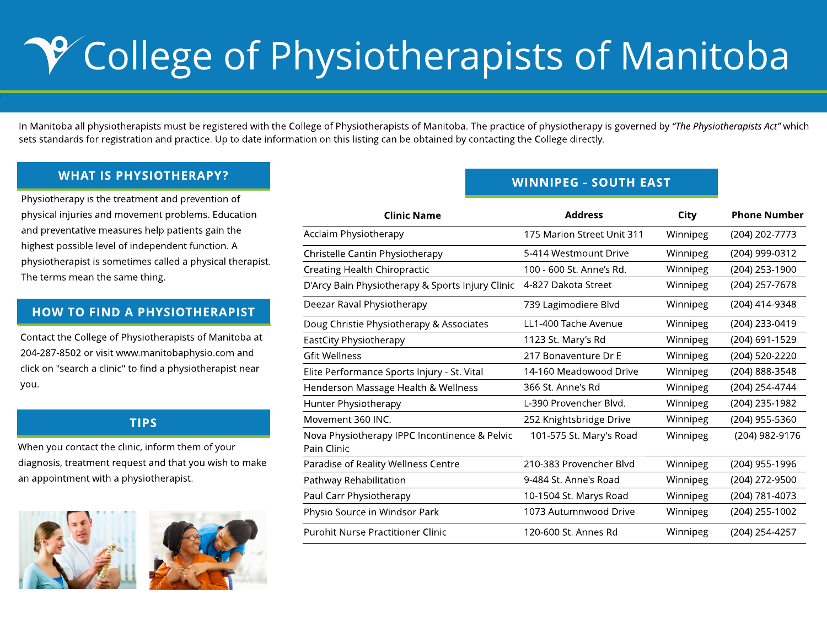g

## WHAT IS PHYSIOTHERAPY?

### TIPS

Physiotherapy is the treatment and prevention of physical injuries and movement problems. Education and preventative measures help patients gain the highest possible level of independent function. A physiotherapist is sometimes called a physical therapist. The terms mean the same thing.

## HOW TO FIND A PHYSIOTHERAPIST

Contact the College of Physiotherapists of Manitoba at 204-287-8502 or visit www.manitobaphysio.com and click on "search a clinic" to find a physiotherapist near you.

When you contact the clinic, inform them of your diagnosis, treatment request and that you wish to make an appointment with a physiotherapist.





# **P College of Physiotherapists of Manitoba**

In Manitoba all physiotherapists must be registered with the College of Physiotherapists of Manitoba. The practice of physiotherapy is governed by **?The Physiotherapists Act?** which sets standards for registration and practice. Up to date information on this listing can be obtained by contacting the College directly.

| <b>Clinic Name</b>                                           | <b>Address</b>             | <b>City</b> | <b>Phone Number</b> |
|--------------------------------------------------------------|----------------------------|-------------|---------------------|
| <b>Acclaim Physiotherapy</b>                                 | 175 Marion Street Unit 311 | Winnipeg    | $(204) 202 - 7773$  |
| <b>Christelle Cantin Physiotherapy</b>                       | 5-414 Westmount Drive      | Winnipeg    | $(204)$ 999-0312    |
| <b>Creating Health Chiropractic</b>                          | 100 - 600 St. Anne's Rd.   | Winnipeg    | $(204)$ 253-1900    |
| D'Arcy Bain Physiotherapy & Sports Injury Clinic             | 4-827 Dakota Street        | Winnipeg    | $(204)$ 257-7678    |
| Deezar Raval Physiotherapy                                   | 739 Lagimodiere Blvd       | Winnipeg    | $(204)$ 414-9348    |
| Doug Christie Physiotherapy & Associates                     | LL1-400 Tache Avenue       | Winnipeg    | $(204)$ 233-0419    |
| <b>EastCity Physiotherapy</b>                                | 1123 St. Mary's Rd         | Winnipeg    | $(204)$ 691-1529    |
| <b>Gfit Wellness</b>                                         | 217 Bonaventure Dr E       | Winnipeg    | $(204)$ 520-2220    |
| Elite Performance Sports Injury - St. Vital                  | 14-160 Meadowood Drive     | Winnipeg    | $(204) 888 - 3548$  |
| Henderson Massage Health & Wellness                          | 366 St. Anne's Rd          | Winnipeg    | $(204)$ 254-4744    |
| <b>Hunter Physiotherapy</b>                                  | L-390 Provencher Blvd.     | Winnipeg    | $(204)$ 235-1982    |
| Movement 360 INC.                                            | 252 Knightsbridge Drive    | Winnipeg    | $(204)$ 955-5360    |
| Nova Physiotherapy IPPC Incontinence & Pelvic<br>Pain Clinic | 101-575 St. Mary's Road    | Winnipeg    | $(204)$ 982-9176    |
| Paradise of Reality Wellness Centre                          | 210-383 Provencher Blvd    | Winnipeg    | $(204)$ 955-1996    |
| <b>Pathway Rehabilitation</b>                                | 9-484 St. Anne's Road      | Winnipeg    | $(204)$ 272-9500    |
| Paul Carr Physiotherapy                                      | 10-1504 St. Marys Road     | Winnipeg    | $(204) 781 - 4073$  |
| Physio Source in Windsor Park                                | 1073 Autumnwood Drive      | Winnipeg    | $(204)$ 255-1002    |
| <b>Purohit Nurse Practitioner Clinic</b>                     | 120-600 St. Annes Rd       | Winnipeg    | $(204)$ 254-4257    |

## WINNIPEG - SOUTH EAST